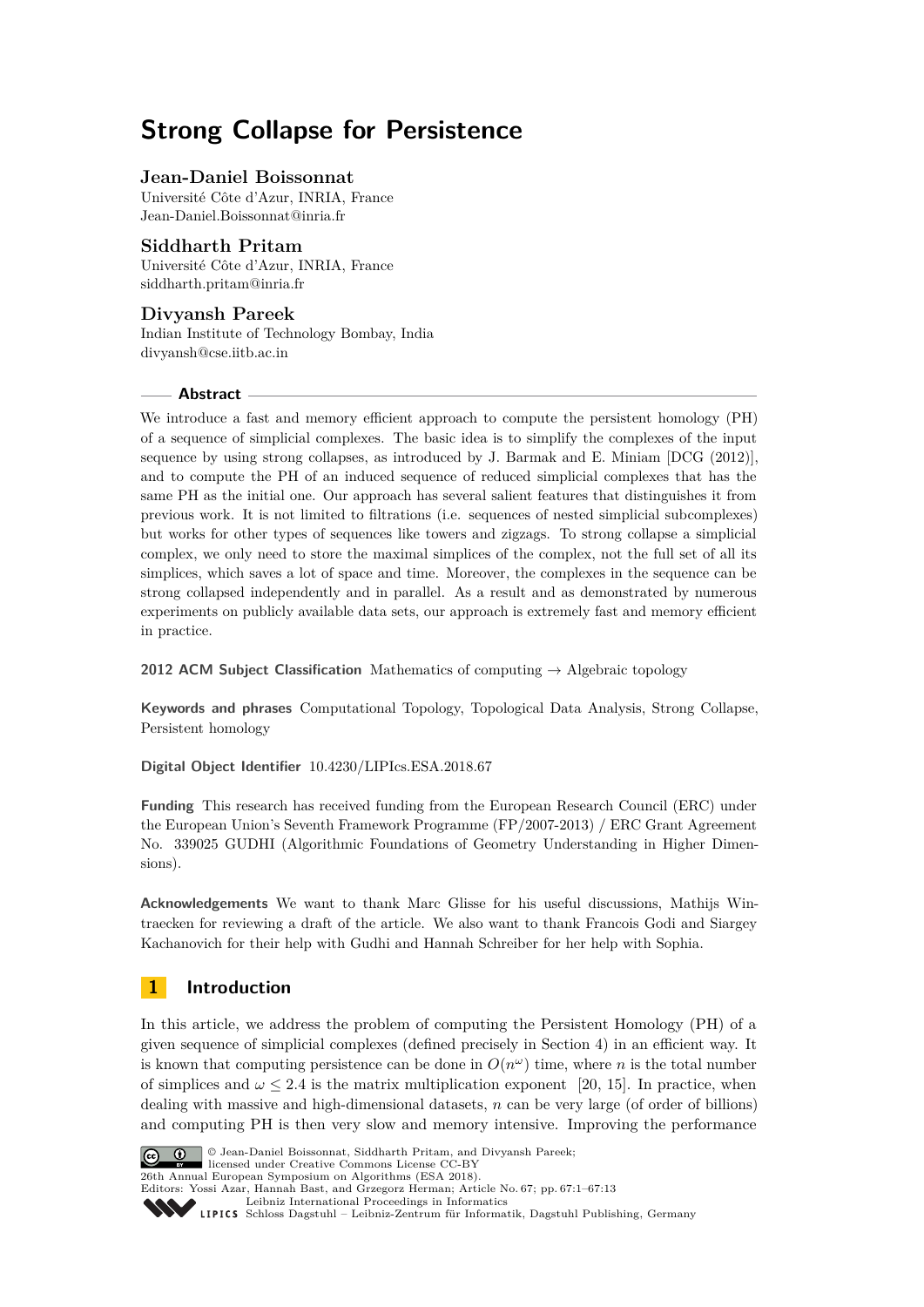# **Strong Collapse for Persistence**

## **Jean-Daniel Boissonnat**

Université Côte d'Azur, INRIA, France [Jean-Daniel.Boissonnat@inria.fr](mailto:Jean-Daniel.Boissonnat@inria.fr)

## **Siddharth Pritam**

Université Côte d'Azur, INRIA, France [siddharth.pritam@inria.fr](mailto:siddharth.pritam@inria.fr)

# **Divyansh Pareek**

Indian Institute of Technology Bombay, India [divyansh@cse.iitb.ac.in](mailto:divyansh@cse.iitb.ac.in)

#### **Abstract**

We introduce a fast and memory efficient approach to compute the persistent homology (PH) of a sequence of simplicial complexes. The basic idea is to simplify the complexes of the input sequence by using strong collapses, as introduced by J. Barmak and E. Miniam [DCG (2012)], and to compute the PH of an induced sequence of reduced simplicial complexes that has the same PH as the initial one. Our approach has several salient features that distinguishes it from previous work. It is not limited to filtrations (i.e. sequences of nested simplicial subcomplexes) but works for other types of sequences like towers and zigzags. To strong collapse a simplicial complex, we only need to store the maximal simplices of the complex, not the full set of all its simplices, which saves a lot of space and time. Moreover, the complexes in the sequence can be strong collapsed independently and in parallel. As a result and as demonstrated by numerous experiments on publicly available data sets, our approach is extremely fast and memory efficient in practice.

**2012 ACM Subject Classification** Mathematics of computing → Algebraic topology

**Keywords and phrases** Computational Topology, Topological Data Analysis, Strong Collapse, Persistent homology

**Digital Object Identifier** [10.4230/LIPIcs.ESA.2018.67](http://dx.doi.org/10.4230/LIPIcs.ESA.2018.67)

**Funding** This research has received funding from the European Research Council (ERC) under the European Union's Seventh Framework Programme (FP/2007-2013) / ERC Grant Agreement No. 339025 GUDHI (Algorithmic Foundations of Geometry Understanding in Higher Dimensions).

**Acknowledgements** We want to thank Marc Glisse for his useful discussions, Mathijs Wintraecken for reviewing a draft of the article. We also want to thank Francois Godi and Siargey Kachanovich for their help with Gudhi and Hannah Schreiber for her help with Sophia.

# **1 Introduction**

In this article, we address the problem of computing the Persistent Homology (PH) of a given sequence of simplicial complexes (defined precisely in Section 4) in an efficient way. It is known that computing persistence can be done in  $O(n^{\omega})$  time, where *n* is the total number of simplices and  $\omega$  < 2.4 is the matrix multiplication exponent [\[20,](#page-12-0) [15\]](#page-12-1). In practice, when dealing with massive and high-dimensional datasets, *n* can be very large (of order of billions) and computing PH is then very slow and memory intensive. Improving the performance



© Jean-Daniel Boissonnat, Siddharth Pritam, and Divyansh Pareek; licensed under Creative Commons License CC-BY 26th Annual European Symposium on Algorithms (ESA 2018).

Editors: Yossi Azar, Hannah Bast, and Grzegorz Herman; Article No. 67; pp. 67:1–67[:13](#page-12-2)

[Leibniz International Proceedings in Informatics](http://www.dagstuhl.de/lipics/)

Leibniz International Froceedings in Informatik, Dagstuhl Publishing, Germany<br>LIPICS [Schloss Dagstuhl – Leibniz-Zentrum für Informatik, Dagstuhl Publishing, Germany](http://www.dagstuhl.de)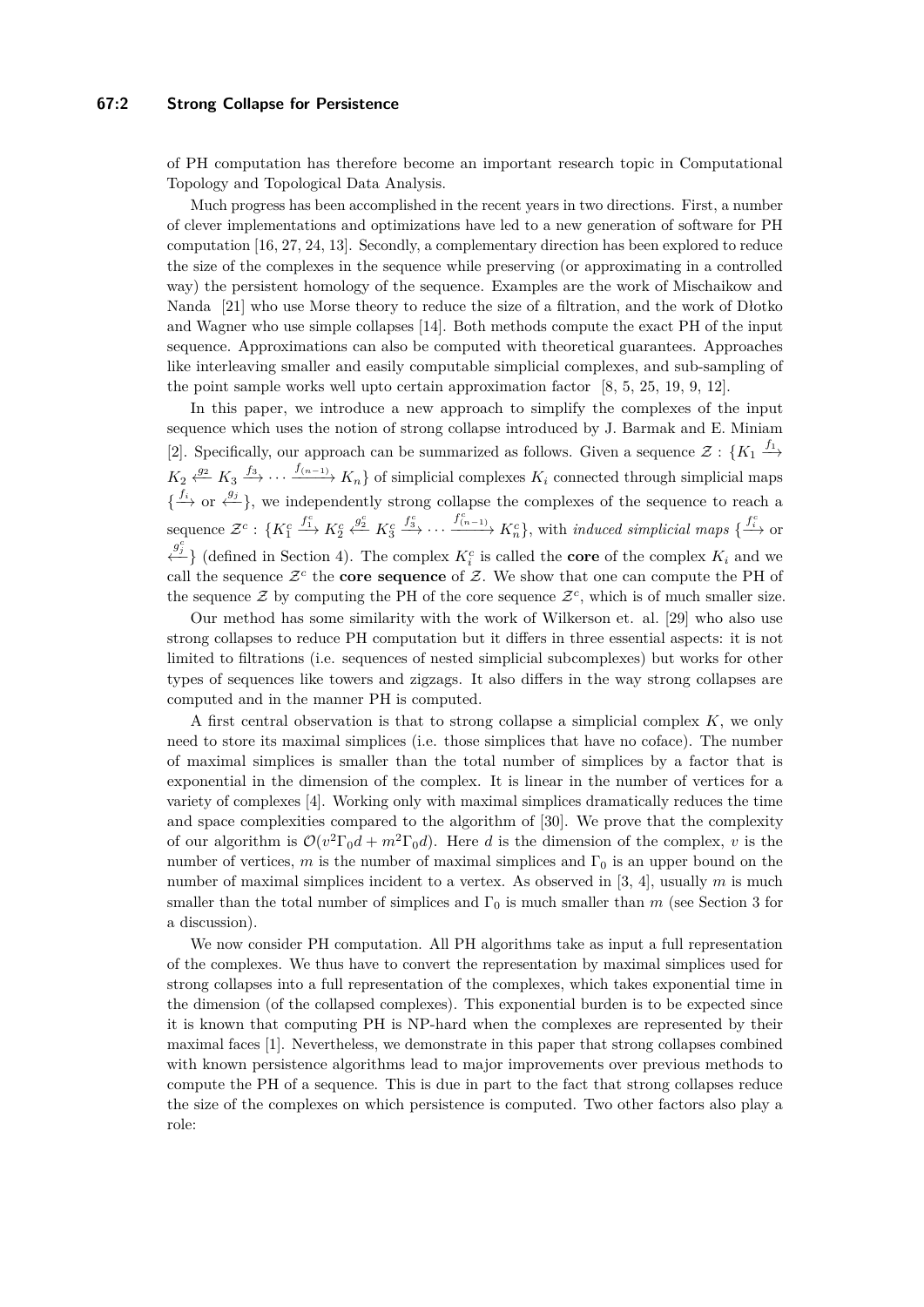#### **67:2 Strong Collapse for Persistence**

of PH computation has therefore become an important research topic in Computational Topology and Topological Data Analysis.

Much progress has been accomplished in the recent years in two directions. First, a number of clever implementations and optimizations have led to a new generation of software for PH computation [\[16,](#page-12-3) [27,](#page-12-4) [24,](#page-12-5) [13\]](#page-12-6). Secondly, a complementary direction has been explored to reduce the size of the complexes in the sequence while preserving (or approximating in a controlled way) the persistent homology of the sequence. Examples are the work of Mischaikow and Nanda [\[21\]](#page-12-7) who use Morse theory to reduce the size of a filtration, and the work of Dłotko and Wagner who use simple collapses [\[14\]](#page-12-8). Both methods compute the exact PH of the input sequence. Approximations can also be computed with theoretical guarantees. Approaches like interleaving smaller and easily computable simplicial complexes, and sub-sampling of the point sample works well upto certain approximation factor [\[8,](#page-12-9) [5,](#page-11-0) [25,](#page-12-10) [19,](#page-12-11) [9,](#page-12-12) [12\]](#page-12-13).

In this paper, we introduce a new approach to simplify the complexes of the input sequence which uses the notion of strong collapse introduced by J. Barmak and E. Miniam [\[2\]](#page-11-1). Specifically, our approach can be summarized as follows. Given a sequence  $\mathcal{Z}: \{K_1 \xrightarrow{f_1}$  $K_2 \xleftarrow{g_2} K_3 \xrightarrow{f_3} \cdots \xrightarrow{f_{(n-1)}} K_n$  of simplicial complexes  $K_i$  connected through simplicial maps  $\{\xrightarrow{f_i}$  or  $\xleftarrow{g_j}$ , we independently strong collapse the complexes of the sequence to reach a sequence  $\mathcal{Z}^c$  :  $\{K_1^c\}$  $f_1^c$   $K_2^c$  $\stackrel{g_2^c}{\longleftarrow} K_3^c$  $f_3^c$ ,  $\cdots$   $f_{(n-1)}^c$   $K_n^c$ , with *induced simplicial maps* { $f_i^c$  or  $\left\{\frac{g_j^c}{f}\right\}$  (defined in Section 4). The complex  $K_i^c$  is called the **core** of the complex  $K_i$  and we call the sequence  $\mathcal{Z}^c$  the **core sequence** of  $\mathcal{Z}$ . We show that one can compute the PH of the sequence  $\mathcal{Z}$  by computing the PH of the core sequence  $\mathcal{Z}^c$ , which is of much smaller size.

Our method has some similarity with the work of Wilkerson et. al. [\[29\]](#page-12-14) who also use strong collapses to reduce PH computation but it differs in three essential aspects: it is not limited to filtrations (i.e. sequences of nested simplicial subcomplexes) but works for other types of sequences like towers and zigzags. It also differs in the way strong collapses are computed and in the manner PH is computed.

A first central observation is that to strong collapse a simplicial complex *K*, we only need to store its maximal simplices (i.e. those simplices that have no coface). The number of maximal simplices is smaller than the total number of simplices by a factor that is exponential in the dimension of the complex. It is linear in the number of vertices for a variety of complexes [\[4\]](#page-11-2). Working only with maximal simplices dramatically reduces the time and space complexities compared to the algorithm of [\[30\]](#page-12-15). We prove that the complexity of our algorithm is  $\mathcal{O}(v^2 \Gamma_0 d + m^2 \Gamma_0 d)$ . Here *d* is the dimension of the complex, *v* is the number of vertices,  $m$  is the number of maximal simplices and  $\Gamma_0$  is an upper bound on the number of maximal simplices incident to a vertex. As observed in [\[3,](#page-11-3) [4\]](#page-11-2), usually *m* is much smaller than the total number of simplices and  $\Gamma_0$  is much smaller than *m* (see Section [3](#page-4-0) for a discussion).

We now consider PH computation. All PH algorithms take as input a full representation of the complexes. We thus have to convert the representation by maximal simplices used for strong collapses into a full representation of the complexes, which takes exponential time in the dimension (of the collapsed complexes). This exponential burden is to be expected since it is known that computing PH is NP-hard when the complexes are represented by their maximal faces [\[1\]](#page-11-4). Nevertheless, we demonstrate in this paper that strong collapses combined with known persistence algorithms lead to major improvements over previous methods to compute the PH of a sequence. This is due in part to the fact that strong collapses reduce the size of the complexes on which persistence is computed. Two other factors also play a role: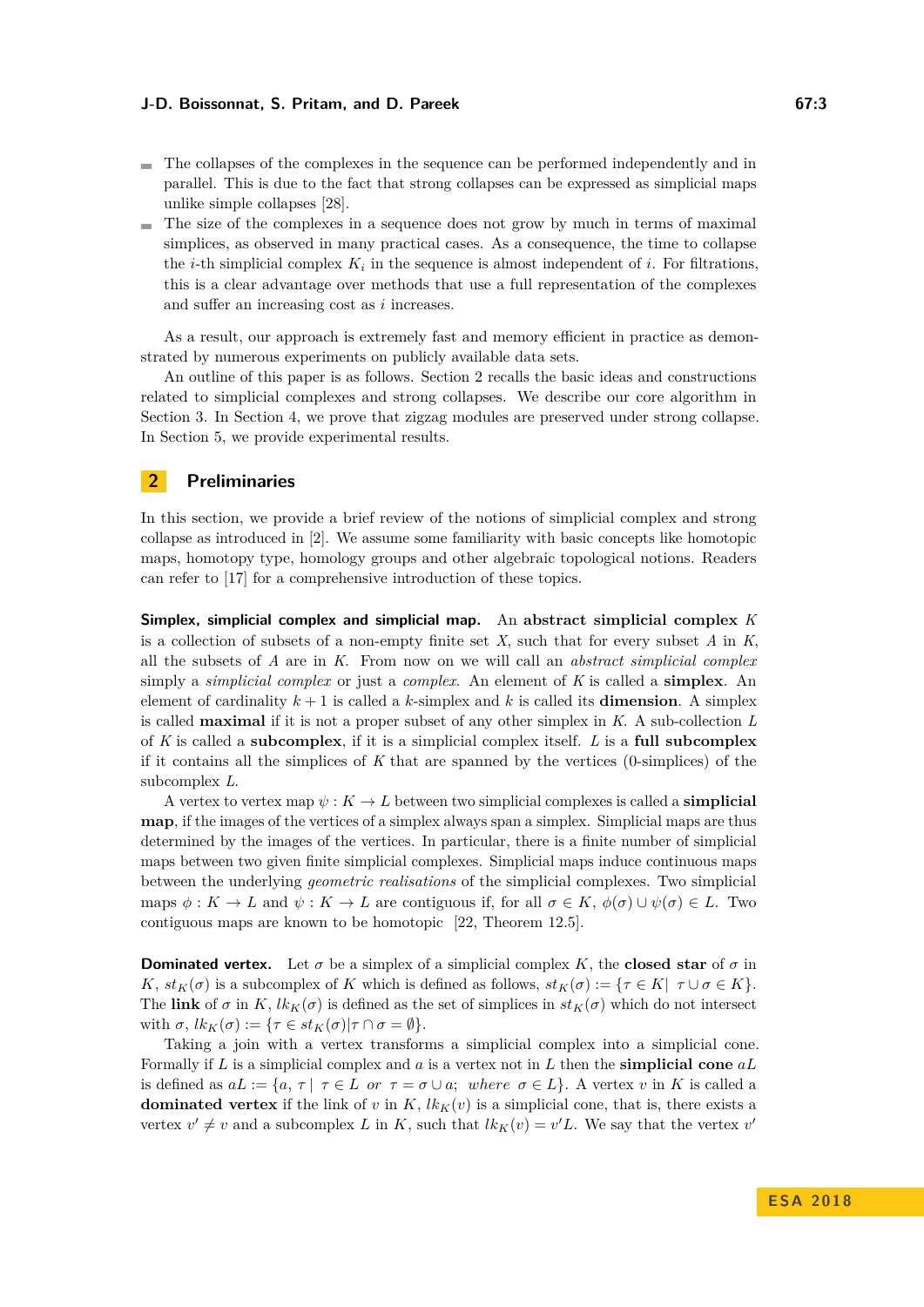- The collapses of the complexes in the sequence can be performed independently and in parallel. This is due to the fact that strong collapses can be expressed as simplicial maps unlike simple collapses [\[28\]](#page-12-16).
- $\blacksquare$  The size of the complexes in a sequence does not grow by much in terms of maximal simplices, as observed in many practical cases. As a consequence, the time to collapse the *i*-th simplicial complex  $K_i$  in the sequence is almost independent of *i*. For filtrations, this is a clear advantage over methods that use a full representation of the complexes and suffer an increasing cost as *i* increases.

As a result, our approach is extremely fast and memory efficient in practice as demonstrated by numerous experiments on publicly available data sets.

An outline of this paper is as follows. Section 2 recalls the basic ideas and constructions related to simplicial complexes and strong collapses. We describe our core algorithm in Section 3. In Section 4, we prove that zigzag modules are preserved under strong collapse. In Section 5, we provide experimental results.

#### **2 Preliminaries**

In this section, we provide a brief review of the notions of simplicial complex and strong collapse as introduced in [\[2\]](#page-11-1). We assume some familiarity with basic concepts like homotopic maps, homotopy type, homology groups and other algebraic topological notions. Readers can refer to [\[17\]](#page-12-17) for a comprehensive introduction of these topics.

**Simplex, simplicial complex and simplicial map.** An **abstract simplicial complex** *K* is a collection of subsets of a non-empty finite set *X,* such that for every subset *A* in *K*, all the subsets of *A* are in *K*. From now on we will call an *abstract simplicial complex* simply a *simplicial complex* or just a *complex*. An element of *K* is called a **simplex**. An element of cardinality  $k + 1$  is called a *k*-simplex and *k* is called its **dimension**. A simplex is called **maximal** if it is not a proper subset of any other simplex in *K*. A sub-collection *L* of *K* is called a **subcomplex**, if it is a simplicial complex itself. *L* is a **full subcomplex** if it contains all the simplices of *K* that are spanned by the vertices (0-simplices) of the subcomplex *L*.

A vertex to vertex map  $\psi: K \to L$  between two simplicial complexes is called a **simplicial map**, if the images of the vertices of a simplex always span a simplex. Simplicial maps are thus determined by the images of the vertices. In particular, there is a finite number of simplicial maps between two given finite simplicial complexes. Simplicial maps induce continuous maps between the underlying *geometric realisations* of the simplicial complexes. Two simplicial maps  $\phi: K \to L$  and  $\psi: K \to L$  are contiguous if, for all  $\sigma \in K$ ,  $\phi(\sigma) \cup \psi(\sigma) \in L$ . Two contiguous maps are known to be homotopic [\[22,](#page-12-18) Theorem 12.5].

<span id="page-2-0"></span>**Dominated vertex.** Let  $\sigma$  be a simplex of a simplicial complex K, the **closed star** of  $\sigma$  in *K*,  $st_K(\sigma)$  is a subcomplex of *K* which is defined as follows,  $st_K(\sigma) := \{ \tau \in K | \tau \cup \sigma \in K \}$ . The **link** of  $\sigma$  in *K*,  $lk_K(\sigma)$  is defined as the set of simplices in  $st_K(\sigma)$  which do not intersect with  $\sigma$ ,  $lk_K(\sigma) := {\tau \in st_K(\sigma) | \tau \cap \sigma = \emptyset}.$ 

Taking a join with a vertex transforms a simplicial complex into a simplicial cone. Formally if *L* is a simplicial complex and *a* is a vertex not in *L* then the **simplicial cone** *aL* is defined as  $aL := \{a, \tau \mid \tau \in L \text{ or } \tau = \sigma \cup a; \text{ where } \sigma \in L\}.$  A vertex v in K is called a **dominated vertex** if the link of *v* in  $K$ ,  $lk_K(v)$  is a simplicial cone, that is, there exists a vertex  $v' \neq v$  and a subcomplex *L* in *K*, such that  $lk_K(v) = v'L$ . We say that the vertex  $v'$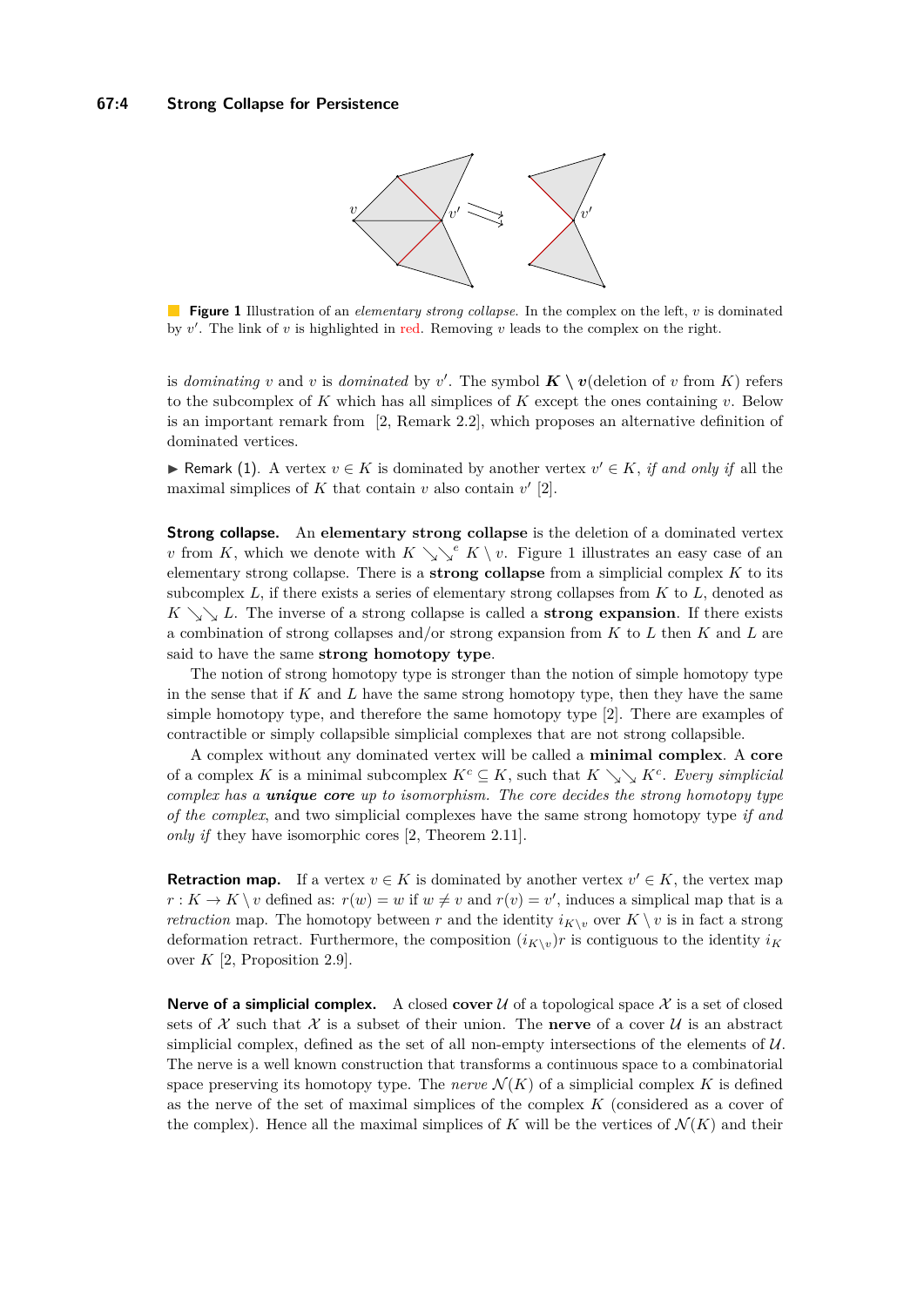

<span id="page-3-0"></span>**Figure 1** Illustration of an *elementary strong collapse*. In the complex on the left, *v* is dominated by  $v'$ . The link of  $v$  is highlighted in red. Removing  $v$  leads to the complex on the right.

is *dominating v* and *v* is *dominated* by *v*<sup>'</sup>. The symbol  $\mathbf{K} \setminus \mathbf{v}$  (deletion of *v* from *K*) refers to the subcomplex of *K* which has all simplices of *K* except the ones containing *v*. Below is an important remark from [\[2,](#page-11-1) Remark 2.2], which proposes an alternative definition of dominated vertices.

► Remark (1). A vertex  $v \in K$  is dominated by another vertex  $v' \in K$ , *if and only if* all the maximal simplices of  $K$  that contain  $v$  also contain  $v'$  [\[2\]](#page-11-1).

**Strong collapse.** An **elementary strong collapse** is the deletion of a dominated vertex *v* from *K*, which we denote with  $K \searrow^e K \vee v$ . [Figure 1](#page-3-0) illustrates an easy case of an elementary strong collapse. There is a **strong collapse** from a simplicial complex *K* to its subcomplex *L*, if there exists a series of elementary strong collapses from *K* to *L*, denoted as  $K \searrow L$ . The inverse of a strong collapse is called a **strong expansion**. If there exists a combination of strong collapses and/or strong expansion from *K* to *L* then *K* and *L* are said to have the same **strong homotopy type**.

The notion of strong homotopy type is stronger than the notion of simple homotopy type in the sense that if *K* and *L* have the same strong homotopy type, then they have the same simple homotopy type, and therefore the same homotopy type [\[2\]](#page-11-1). There are examples of contractible or simply collapsible simplicial complexes that are not strong collapsible.

A complex without any dominated vertex will be called a **minimal complex**. A **core** of a complex *K* is a minimal subcomplex  $K^c \subseteq K$ , such that  $K \searrow K^c$ . Every simplicial *complex has a unique core up to isomorphism. The core decides the strong homotopy type of the complex*, and two simplicial complexes have the same strong homotopy type *if and only if* they have isomorphic cores [\[2,](#page-11-1) Theorem 2.11].

<span id="page-3-2"></span>**Retraction map.** If a vertex  $v \in K$  is dominated by another vertex  $v' \in K$ , the vertex map  $r: K \to K \setminus v$  defined as:  $r(w) = w$  if  $w \neq v$  and  $r(v) = v'$ , induces a simplical map that is a *retraction* map. The homotopy between *r* and the identity  $i_{K\setminus v}$  over  $K \setminus v$  is in fact a strong deformation retract. Furthermore, the composition  $(i_{K\setminus v})r$  is contiguous to the identity  $i_K$ over *K* [\[2,](#page-11-1) Proposition 2.9].

<span id="page-3-1"></span>**Nerve of a simplicial complex.** A closed cover  $U$  of a topological space  $X$  is a set of closed sets of  $\mathcal X$  such that  $\mathcal X$  is a subset of their union. The **nerve** of a cover  $\mathcal U$  is an abstract simplicial complex, defined as the set of all non-empty intersections of the elements of  $U$ . The nerve is a well known construction that transforms a continuous space to a combinatorial space preserving its homotopy type. The *nerve*  $\mathcal{N}(K)$  of a simplicial complex K is defined as the nerve of the set of maximal simplices of the complex *K* (considered as a cover of the complex). Hence all the maximal simplices of *K* will be the vertices of  $\mathcal{N}(K)$  and their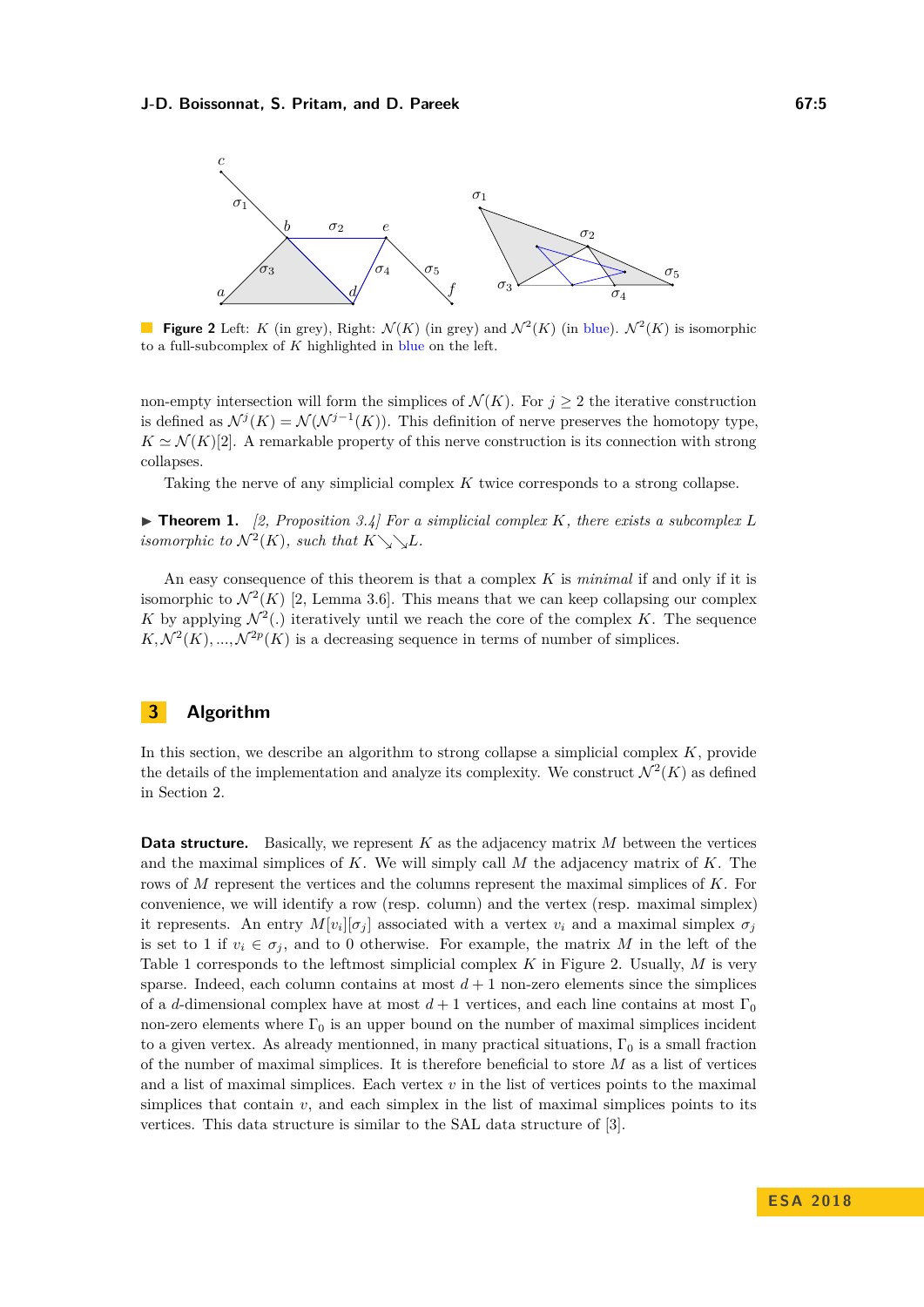<span id="page-4-1"></span>

**Figure 2** Left: *K* (in grey), Right:  $\mathcal{N}(K)$  (in grey) and  $\mathcal{N}^2(K)$  (in blue).  $\mathcal{N}^2(K)$  is isomorphic to a full-subcomplex of *K* highlighted in blue on the left.

non-empty intersection will form the simplices of  $\mathcal{N}(K)$ . For  $j \geq 2$  the iterative construction is defined as  $\mathcal{N}^j(K) = \mathcal{N}(\mathcal{N}^{j-1}(K))$ . This definition of nerve preserves the homotopy type,  $K \simeq \mathcal{N}(K)[2]$  $K \simeq \mathcal{N}(K)[2]$ . A remarkable property of this nerve construction is its connection with strong collapses.

Taking the nerve of any simplicial complex *K* twice corresponds to a strong collapse.

<span id="page-4-2"></span> $\triangleright$  **Theorem 1.** [\[2,](#page-11-1) Proposition 3.4] For a simplicial complex K, there exists a subcomplex L *isomorphic to*  $\mathcal{N}^2(K)$ *, such that*  $K \searrow L$ *.* 

An easy consequence of this theorem is that a complex *K* is *minimal* if and only if it is isomorphic to  $\mathcal{N}^2(K)$  [\[2,](#page-11-1) Lemma 3.6]. This means that we can keep collapsing our complex K by applying  $\mathcal{N}^2(.)$  iteratively until we reach the core of the complex K. The sequence  $K, \mathcal{N}^2(K), ..., \mathcal{N}^{2p}(K)$  is a decreasing sequence in terms of number of simplices.

# <span id="page-4-0"></span>**3 Algorithm**

In this section, we describe an algorithm to strong collapse a simplicial complex *K*, provide the details of the implementation and analyze its complexity. We construct  $\mathcal{N}^2(K)$  as defined in Section [2.](#page-3-1)

**Data structure.** Basically, we represent *K* as the adjacency matrix *M* between the vertices and the maximal simplices of *K*. We will simply call *M* the adjacency matrix of *K*. The rows of *M* represent the vertices and the columns represent the maximal simplices of *K*. For convenience, we will identify a row (resp. column) and the vertex (resp. maximal simplex) it represents. An entry  $M[v_i][\sigma_j]$  associated with a vertex  $v_i$  and a maximal simplex  $\sigma_j$ is set to 1 if  $v_i \in \sigma_j$ , and to 0 otherwise. For example, the matrix *M* in the left of the [Table 1](#page-5-0) corresponds to the leftmost simplicial complex *K* in [Figure 2.](#page-4-1) Usually, *M* is very sparse. Indeed, each column contains at most  $d+1$  non-zero elements since the simplices of a *d*-dimensional complex have at most  $d+1$  vertices, and each line contains at most  $\Gamma_0$ non-zero elements where  $\Gamma_0$  is an upper bound on the number of maximal simplices incident to a given vertex. As already mentionned, in many practical situations,  $\Gamma_0$  is a small fraction of the number of maximal simplices. It is therefore beneficial to store *M* as a list of vertices and a list of maximal simplices. Each vertex *v* in the list of vertices points to the maximal simplices that contain  $v$ , and each simplex in the list of maximal simplices points to its vertices. This data structure is similar to the SAL data structure of [\[3\]](#page-11-3).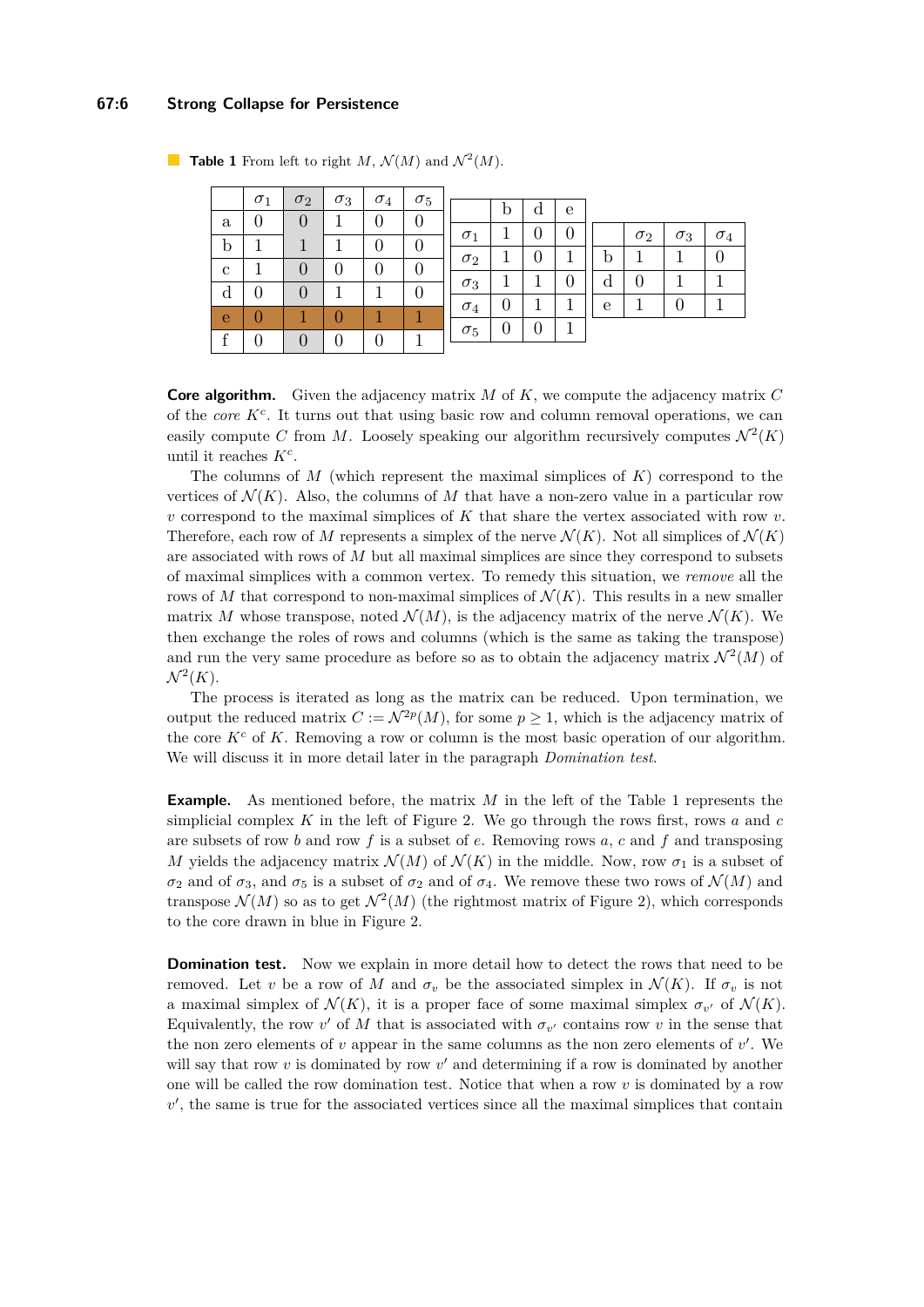#### **67:6 Strong Collapse for Persistence**

|   | $\sigma_1$ | $\sigma_2$       | $\sigma_3$ | $\sigma_4$ | $\sigma_5$ |            |   |                  |   |   |            |            |            |
|---|------------|------------------|------------|------------|------------|------------|---|------------------|---|---|------------|------------|------------|
|   |            |                  |            |            |            |            | b | α                | e |   |            |            |            |
| a |            | 0                |            |            |            |            |   |                  |   |   |            |            |            |
|   |            |                  |            |            |            | $\sigma_1$ |   | $\boldsymbol{0}$ | 0 |   | $\sigma_2$ | $\sigma_3$ | $\sigma_4$ |
| b |            |                  |            | 0          |            |            |   |                  |   |   |            |            |            |
|   |            |                  |            |            |            | $\sigma_2$ |   | 0                |   | b |            |            |            |
| c |            | $\theta$         |            |            |            |            |   |                  |   |   |            |            |            |
|   |            |                  |            |            |            | $\sigma_3$ |   |                  |   | d |            |            |            |
| d |            | $\left( \right)$ |            |            | 0          |            |   |                  |   |   |            |            |            |
|   |            |                  |            |            |            | $\sigma_4$ | 0 |                  |   | e |            |            |            |
| e |            |                  |            |            |            |            |   |                  | 1 |   |            |            |            |
|   |            |                  |            |            |            | $\sigma_5$ | 0 | 0                |   |   |            |            |            |
|   |            | 0                |            |            |            |            |   |                  |   |   |            |            |            |

<span id="page-5-0"></span>**Table 1** From left to right  $M$ ,  $\mathcal{N}(M)$  and  $\mathcal{N}^2(M)$ .

**Core algorithm.** Given the adjacency matrix *M* of *K*, we compute the adjacency matrix *C* of the *core K<sup>c</sup>* . It turns out that using basic row and column removal operations, we can easily compute C from M. Loosely speaking our algorithm recursively computes  $\mathcal{N}^2(K)$ until it reaches *K<sup>c</sup>* .

The columns of *M* (which represent the maximal simplices of *K*) correspond to the vertices of  $\mathcal{N}(K)$ . Also, the columns of M that have a non-zero value in a particular row *v* correspond to the maximal simplices of *K* that share the vertex associated with row *v*. Therefore, each row of M represents a simplex of the nerve  $\mathcal{N}(K)$ . Not all simplices of  $\mathcal{N}(K)$ are associated with rows of *M* but all maximal simplices are since they correspond to subsets of maximal simplices with a common vertex. To remedy this situation, we *remove* all the rows of *M* that correspond to non-maximal simplices of  $\mathcal{N}(K)$ . This results in a new smaller matrix *M* whose transpose, noted  $\mathcal{N}(M)$ , is the adjacency matrix of the nerve  $\mathcal{N}(K)$ . We then exchange the roles of rows and columns (which is the same as taking the transpose) and run the very same procedure as before so as to obtain the adjacency matrix  $\mathcal{N}^2(M)$  of  $\mathcal{N}^2(K)$ .

The process is iterated as long as the matrix can be reduced. Upon termination, we output the reduced matrix  $C := \mathcal{N}^{2p}(M)$ , for some  $p \geq 1$ , which is the adjacency matrix of the core  $K^c$  of K. Removing a row or column is the most basic operation of our algorithm. We will discuss it in more detail later in the paragraph *Domination test*.

**Example.** As mentioned before, the matrix *M* in the left of the [Table 1](#page-5-0) represents the simplicial complex *K* in the left of [Figure 2.](#page-4-1) We go through the rows first, rows *a* and *c* are subsets of row *b* and row *f* is a subset of *e*. Removing rows *a*, *c* and *f* and transposing *M* yields the adjacency matrix  $\mathcal{N}(M)$  of  $\mathcal{N}(K)$  in the middle. Now, row  $\sigma_1$  is a subset of *σ*<sub>2</sub> and of *σ*<sub>3</sub>, and *σ*<sub>5</sub> is a subset of *σ*<sub>2</sub> and of *σ*<sub>4</sub>. We remove these two rows of  $\mathcal{N}(M)$  and transpose  $\mathcal{N}(M)$  so as to get  $\mathcal{N}^2(M)$  (the rightmost matrix of [Figure 2\)](#page-4-1), which corresponds to the core drawn in blue in [Figure 2.](#page-4-1)

**Domination test.** Now we explain in more detail how to detect the rows that need to be removed. Let *v* be a row of *M* and  $\sigma_v$  be the associated simplex in  $\mathcal{N}(K)$ . If  $\sigma_v$  is not a maximal simplex of  $\mathcal{N}(K)$ , it is a proper face of some maximal simplex  $\sigma_{v'}$  of  $\mathcal{N}(K)$ . Equivalently, the row  $v'$  of  $M$  that is associated with  $\sigma_{v'}$  contains row  $v$  in the sense that the non zero elements of  $v$  appear in the same columns as the non zero elements of  $v'$ . We will say that row  $v$  is dominated by row  $v'$  and determining if a row is dominated by another one will be called the row domination test. Notice that when a row *v* is dominated by a row  $v'$ , the same is true for the associated vertices since all the maximal simplices that contain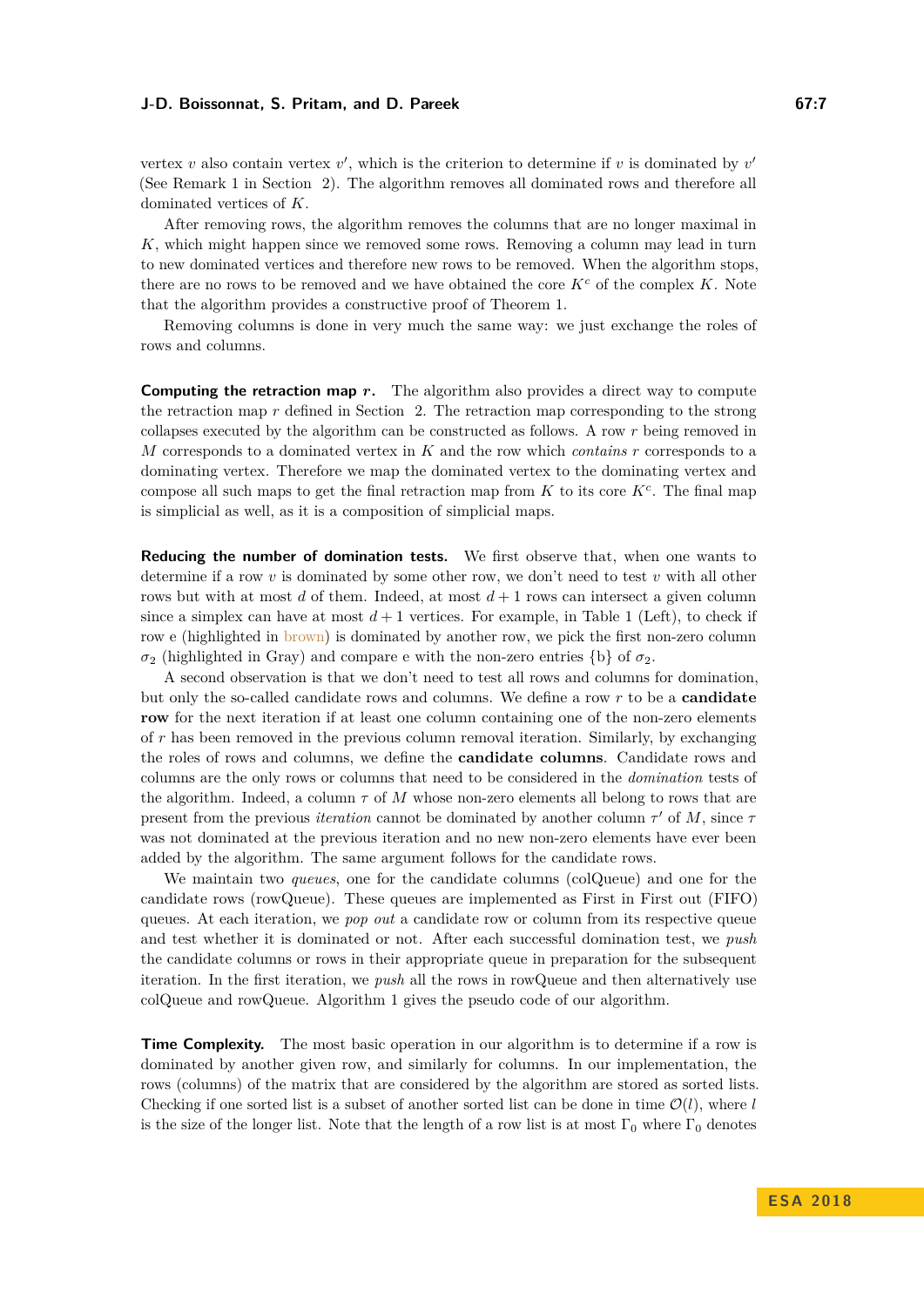vertex *v* also contain vertex  $v'$ , which is the criterion to determine if *v* is dominated by  $v'$ (See Remark 1 in Section [2\)](#page-2-0). The algorithm removes all dominated rows and therefore all dominated vertices of *K*.

After removing rows, the algorithm removes the columns that are no longer maximal in *K*, which might happen since we removed some rows. Removing a column may lead in turn to new dominated vertices and therefore new rows to be removed. When the algorithm stops, there are no rows to be removed and we have obtained the core  $K^c$  of the complex  $K$ . Note that the algorithm provides a constructive proof of [Theorem 1.](#page-4-2)

Removing columns is done in very much the same way: we just exchange the roles of rows and columns.

**Computing the retraction map** *r*. The algorithm also provides a direct way to compute the retraction map *r* defined in Section [2.](#page-3-2) The retraction map corresponding to the strong collapses executed by the algorithm can be constructed as follows. A row *r* being removed in *M* corresponds to a dominated vertex in *K* and the row which *contains r* corresponds to a dominating vertex. Therefore we map the dominated vertex to the dominating vertex and compose all such maps to get the final retraction map from  $K$  to its core  $K^c$ . The final map is simplicial as well, as it is a composition of simplicial maps.

**Reducing the number of domination tests.** We first observe that, when one wants to determine if a row *v* is dominated by some other row, we don't need to test *v* with all other rows but with at most  $d$  of them. Indeed, at most  $d+1$  rows can intersect a given column since a simplex can have at most  $d+1$  vertices. For example, in [Table 1](#page-5-0) (Left), to check if row e (highlighted in brown) is dominated by another row, we pick the first non-zero column *σ*<sub>2</sub> (highlighted in Gray) and compare e with the non-zero entries {b} of  $σ_2$ .

A second observation is that we don't need to test all rows and columns for domination, but only the so-called candidate rows and columns. We define a row *r* to be a **candidate row** for the next iteration if at least one column containing one of the non-zero elements of *r* has been removed in the previous column removal iteration. Similarly, by exchanging the roles of rows and columns, we define the **candidate columns**. Candidate rows and columns are the only rows or columns that need to be considered in the *domination* tests of the algorithm. Indeed, a column *τ* of *M* whose non-zero elements all belong to rows that are present from the previous *iteration* cannot be dominated by another column  $\tau'$  of  $M$ , since  $\tau$ was not dominated at the previous iteration and no new non-zero elements have ever been added by the algorithm. The same argument follows for the candidate rows.

We maintain two *queues*, one for the candidate columns (colQueue) and one for the candidate rows (rowQueue). These queues are implemented as First in First out (FIFO) queues. At each iteration, we *pop out* a candidate row or column from its respective queue and test whether it is dominated or not. After each successful domination test, we *push* the candidate columns or rows in their appropriate queue in preparation for the subsequent iteration. In the first iteration, we *push* all the rows in rowQueue and then alternatively use colQueue and rowQueue. Algorithm [1](#page-7-0) gives the pseudo code of our algorithm.

**Time Complexity.** The most basic operation in our algorithm is to determine if a row is dominated by another given row, and similarly for columns. In our implementation, the rows (columns) of the matrix that are considered by the algorithm are stored as sorted lists. Checking if one sorted list is a subset of another sorted list can be done in time  $\mathcal{O}(l)$ , where *l* is the size of the longer list. Note that the length of a row list is at most  $\Gamma_0$  where  $\Gamma_0$  denotes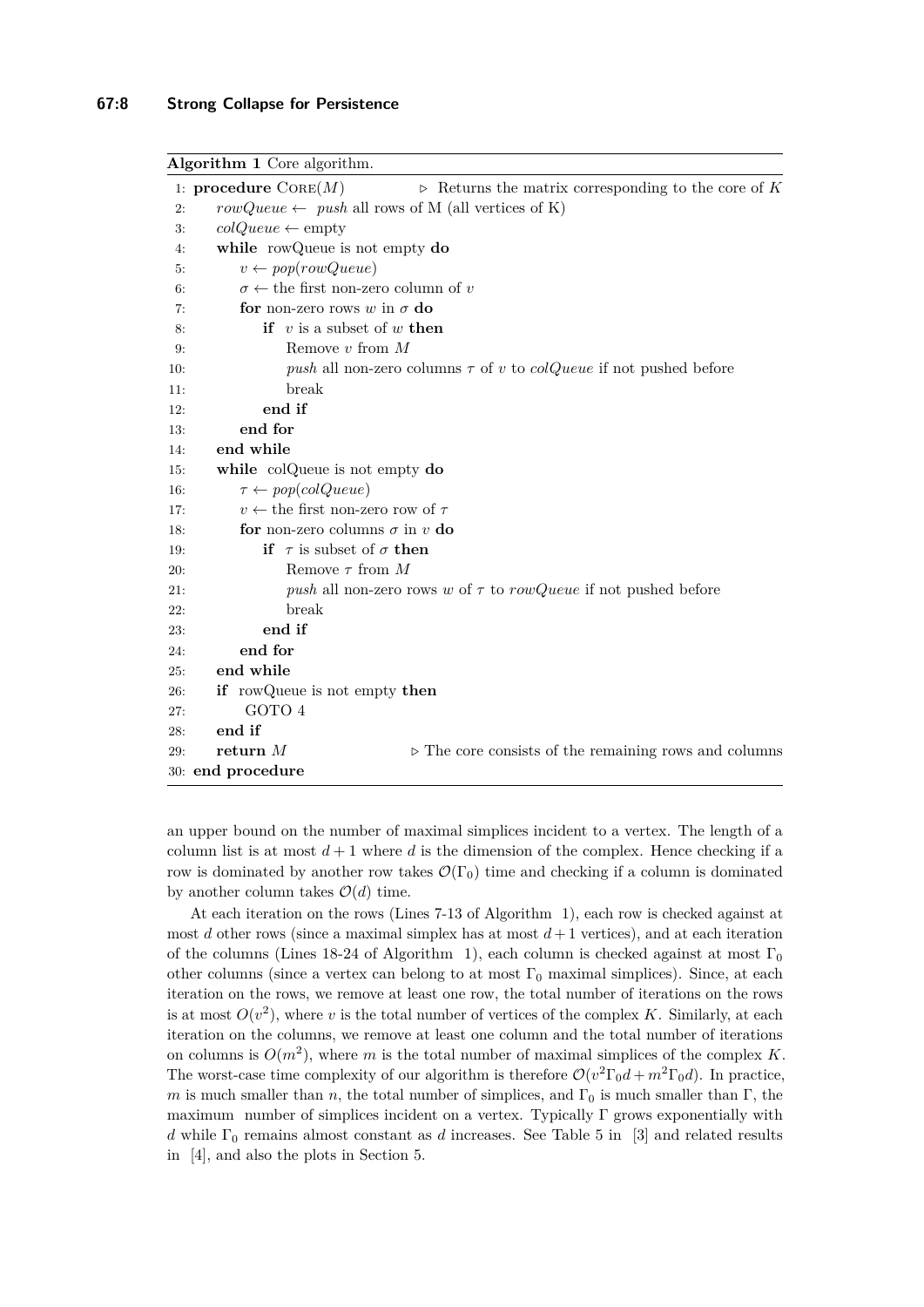#### <span id="page-7-0"></span>**Algorithm 1** Core algorithm.

```
1: procedure \text{CORE}(M) ... Depending Returns the matrix corresponding to the core of K
 2: rowQueue \leftarrow push all rows of M (all vertices of K)
 3: colQueue \leftarrow empty4: while rowQueue is not empty do
 5: v \leftarrow pop(rowQueue)6: \sigma \leftarrow the first non-zero column of v
 7: for non-zero rows w in σ do
 8: if v is a subset of w then
9: Remove v from M
10: push all non-zero columns τ of v to colQueue if not pushed before
11: break
12: end if
13: end for
14: end while
15: while colQueue is not empty do
16: \tau \leftarrow pop(colQueue)17: v \leftarrow the first non-zero row of \tau18: for non-zero columns \sigma in v do
19: if \tau is subset of \sigma then
20: Remove τ from M
21: push all non-zero rows w of τ to rowQueue if not pushed before
22: break
23: end if
24: end for
25: end while
26: if rowQueue is not empty then
27: GOTO 4
28: end if
29: return M \triangleright The core consists of the remaining rows and columns
30: end procedure
```
an upper bound on the number of maximal simplices incident to a vertex. The length of a column list is at most  $d+1$  where d is the dimension of the complex. Hence checking if a row is dominated by another row takes  $\mathcal{O}(\Gamma_0)$  time and checking if a column is dominated by another column takes  $\mathcal{O}(d)$  time.

At each iteration on the rows (Lines 7-13 of Algorithm [1\)](#page-7-0), each row is checked against at most *d* other rows (since a maximal simplex has at most  $d+1$  vertices), and at each iteration of the columns (Lines 18-24 of Algorithm [1\)](#page-7-0), each column is checked against at most  $\Gamma_0$ other columns (since a vertex can belong to at most  $\Gamma_0$  maximal simplices). Since, at each iteration on the rows, we remove at least one row, the total number of iterations on the rows is at most  $O(v^2)$ , where *v* is the total number of vertices of the complex *K*. Similarly, at each iteration on the columns, we remove at least one column and the total number of iterations on columns is  $O(m^2)$ , where *m* is the total number of maximal simplices of the complex *K*. The worst-case time complexity of our algorithm is therefore  $\mathcal{O}(v^2 \Gamma_0 d + m^2 \Gamma_0 d)$ . In practice, *m* is much smaller than *n*, the total number of simplices, and  $\Gamma_0$  is much smaller than  $\Gamma$ , the maximum number of simplices incident on a vertex. Typically  $\Gamma$  grows exponentially with *d* while  $\Gamma_0$  remains almost constant as *d* increases. See Table 5 in [\[3\]](#page-11-3) and related results in [\[4\]](#page-11-2), and also the plots in Section [5.](#page-9-0)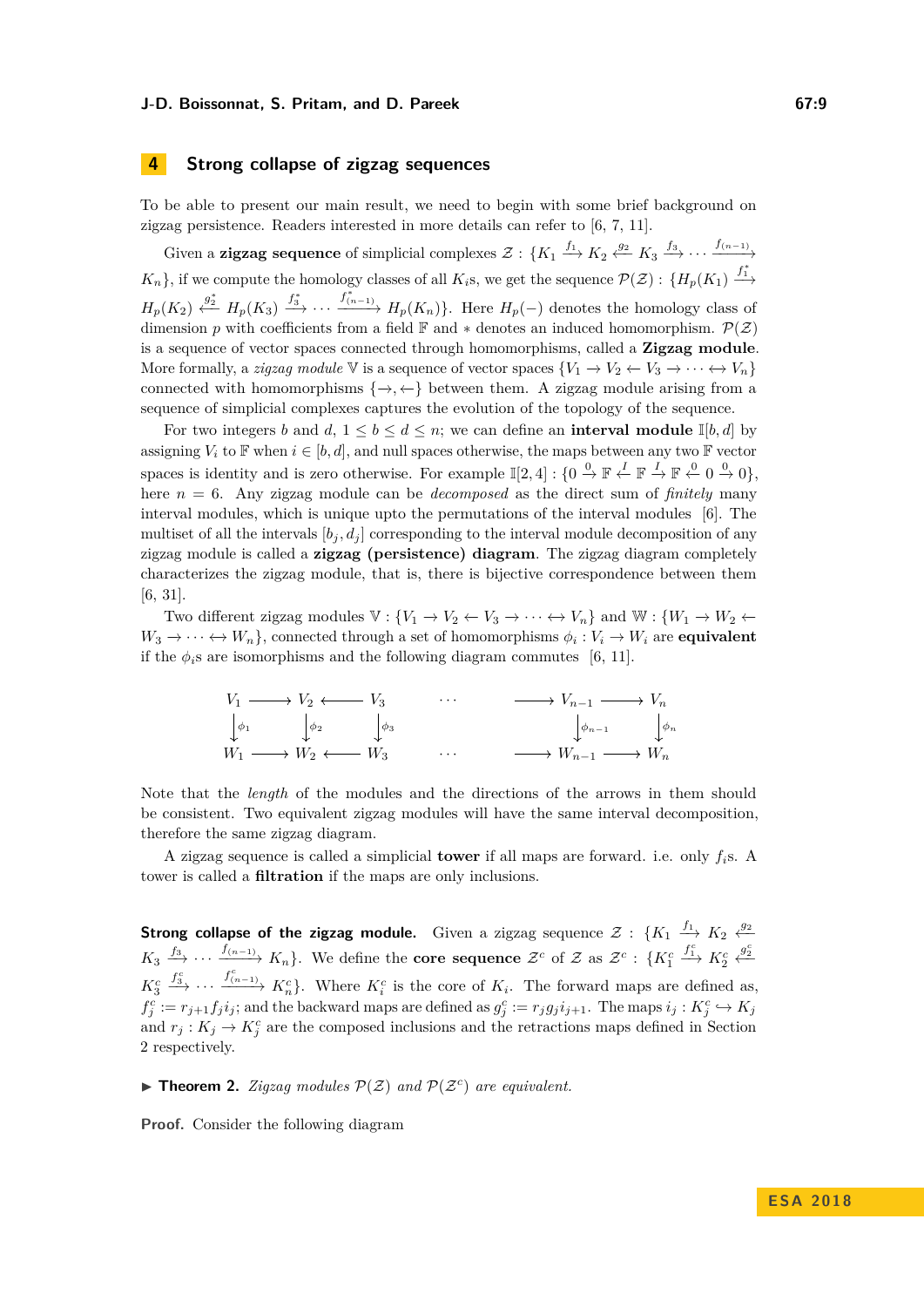# <span id="page-8-0"></span>**4 Strong collapse of zigzag sequences**

To be able to present our main result, we need to begin with some brief background on zigzag persistence. Readers interested in more details can refer to [\[6,](#page-11-5) [7,](#page-12-19) [11\]](#page-12-20).

Given a **zigzag sequence** of simplicial complexes  $\mathcal{Z}$  :  $\{K_1 \xrightarrow{f_1} K_2 \xleftarrow{g_2} K_3 \xrightarrow{f_3} \cdots \xrightarrow{f_{(n-1)}}$  $K_n$ , if we compute the homology classes of all  $K_i$ s, we get the sequence  $\mathcal{P}(\mathcal{Z})$  :  $\{H_p(K_1) \xrightarrow{f^*}$  $H_p(K_2) \xleftarrow{g_2^*} H_p(K_3) \xrightarrow{f_3^*} \cdots \xrightarrow{f_{(n-1)}^*} H_p(K_n)$ . Here  $H_p(-)$  denotes the homology class of dimension *p* with coefficients from a field  $\mathbb{F}$  and  $*$  denotes an induced homomorphism.  $\mathcal{P}(Z)$ is a sequence of vector spaces connected through homomorphisms, called a **Zigzag module**. More formally, a *zigzag module*  $\mathbb V$  is a sequence of vector spaces  $\{V_1 \to V_2 \leftarrow V_3 \to \cdots \leftrightarrow V_n\}$ connected with homomorphisms  $\{\rightarrow, \leftarrow\}$  between them. A zigzag module arising from a sequence of simplicial complexes captures the evolution of the topology of the sequence.

For two integers *b* and  $d, 1 \leq b \leq d \leq n$ ; we can define an **interval module**  $\mathbb{I}[b, d]$  by assigning  $V_i$  to  $\mathbb F$  when  $i \in [b, d]$ , and null spaces otherwise, the maps between any two  $\mathbb F$  vector spaces is identity and is zero otherwise. For example  $\mathbb{I}[2,4]: \{0 \stackrel{0}{\to} \mathbb{F} \stackrel{I}{\leftarrow} \mathbb{F} \stackrel{I}{\to} \mathbb{F} \stackrel{0}{\leftarrow} 0 \stackrel{0}{\to} 0\}$ , here *n* = 6. Any zigzag module can be *decomposed* as the direct sum of *finitely* many interval modules, which is unique upto the permutations of the interval modules [\[6\]](#page-11-5). The multiset of all the intervals  $[b_i, d_j]$  corresponding to the interval module decomposition of any zigzag module is called a **zigzag (persistence) diagram**. The zigzag diagram completely characterizes the zigzag module, that is, there is bijective correspondence between them [\[6,](#page-11-5) [31\]](#page-12-21).

Two different zigzag modules  $\mathbb{V}: \{V_1 \to V_2 \leftarrow V_3 \to \cdots \leftrightarrow V_n\}$  and  $\mathbb{W}: \{W_1 \to W_2 \leftarrow$  $W_3 \to \cdots \leftrightarrow W_n$ , connected through a set of homomorphisms  $\phi_i: V_i \to W_i$  are **equivalent** if the  $\phi_i$ <sup>s</sup> are isomorphisms and the following diagram commutes [\[6,](#page-11-5) [11\]](#page-12-20).

$$
V_1 \longrightarrow V_2 \longleftarrow V_3 \qquad \cdots \qquad \longrightarrow V_{n-1} \longrightarrow V_n
$$
  
\n
$$
\downarrow \phi_1 \qquad \qquad \downarrow \phi_2 \qquad \qquad \downarrow \phi_3 \qquad \qquad \downarrow \phi_{n-1} \qquad \qquad \downarrow \phi_n
$$
  
\n
$$
W_1 \longrightarrow W_2 \longleftarrow W_3 \qquad \qquad \cdots \qquad \longrightarrow W_{n-1} \longrightarrow W_n
$$

Note that the *length* of the modules and the directions of the arrows in them should be consistent. Two equivalent zigzag modules will have the same interval decomposition, therefore the same zigzag diagram.

A zigzag sequence is called a simplicial **tower** if all maps are forward. i.e. only *fi*s. A tower is called a **filtration** if the maps are only inclusions.

**Strong collapse of the zigzag module.** Given a zigzag sequence  $\mathcal{Z}$  :  $\{K_1 \stackrel{f_1}{\longrightarrow} K_2 \stackrel{g_2}{\longleftarrow}$  $K_3 \xrightarrow{f_3} \cdots \xrightarrow{f_{(n-1)}} K_n$ . We define the **core sequence**  $\mathcal{Z}^c$  of  $\mathcal{Z}$  as  $\mathcal{Z}^c$  :  $\{K_1^c\}$  $f_1^c$   $K_2^c$  $\xleftarrow{g_2^c}$ *K<sup>c</sup>* 3  $f_3^c$   $\cdots$   $f_{(n-1)}^c$   $K_n^c$ . Where  $K_i^c$  is the core of  $K_i$ . The forward maps are defined as,  $f_j^c := r_{j+1} f_j i_j$ ; and the backward maps are defined as  $g_j^c := r_j g_j i_{j+1}$ . The maps  $i_j : K_j^c \hookrightarrow K_j$ and  $r_j: K_j \to K_j^c$  are the composed inclusions and the retractions maps defined in Section [2](#page-3-2) respectively.

 $\blacktriangleright$  **Theorem 2.** *Zigzag modules*  $\mathcal{P}(Z)$  *and*  $\mathcal{P}(Z^c)$  *are equivalent.* 

**Proof.** Consider the following diagram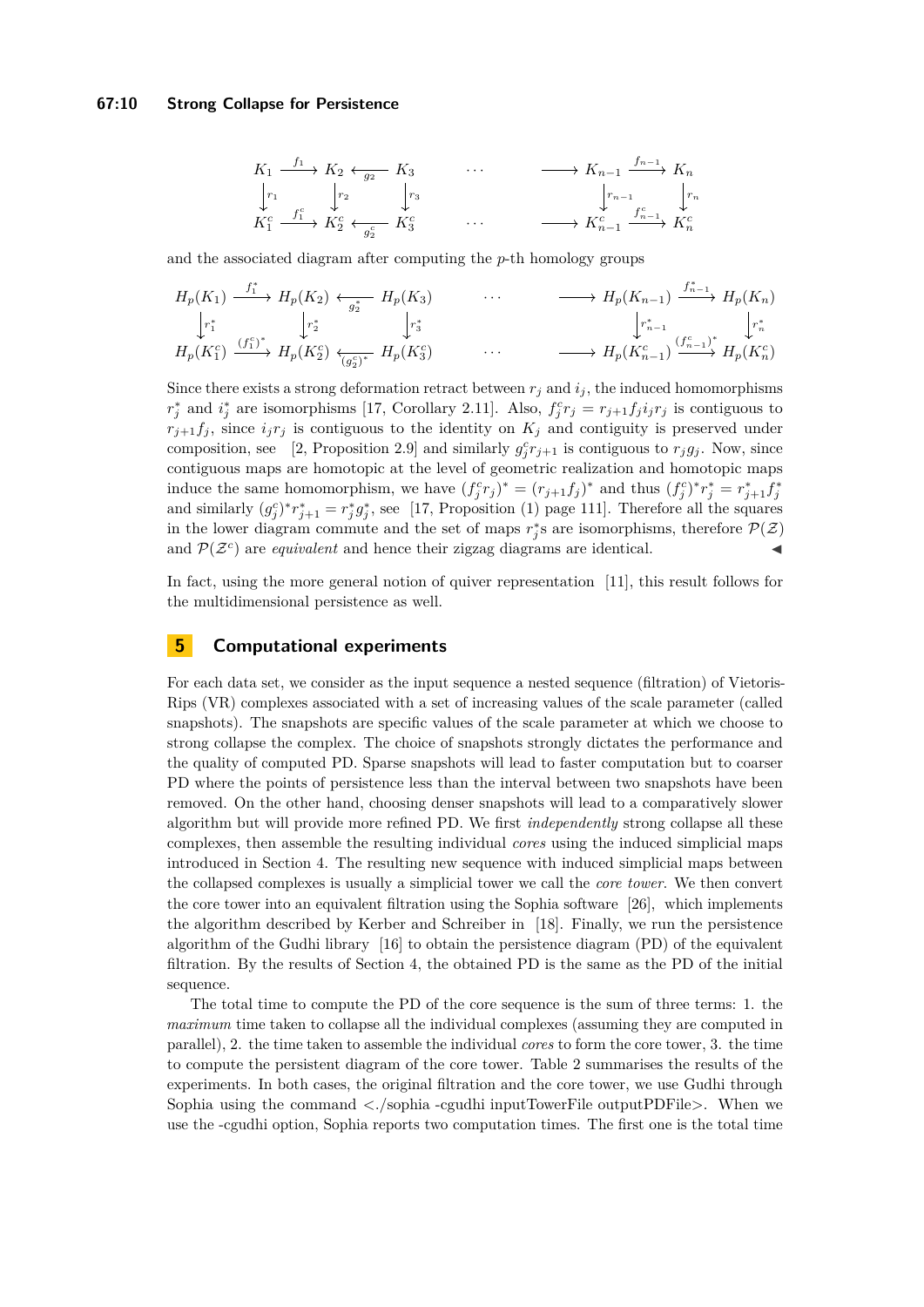#### **67:10 Strong Collapse for Persistence**

$$
K_1 \xrightarrow{f_1} K_2 \xleftarrow{g_2} K_3 \qquad \cdots \qquad \longrightarrow K_{n-1} \xrightarrow{f_{n-1}} K_n
$$
  
\n
$$
\downarrow r_1 \qquad \qquad r_2 \qquad \qquad \downarrow r_3 \qquad \qquad \downarrow r_{n-1} \qquad \qquad \downarrow r_n
$$
  
\n
$$
K_1^c \xrightarrow{f_1^c} K_2^c \xleftarrow{f_2^c} K_3^c \qquad \qquad \cdots \qquad \qquad \longrightarrow K_{n-1}^c \xrightarrow{f_{n-1}^c} K_n^c
$$

and the associated diagram after computing the *p*-th homology groups

$$
H_p(K_1) \xrightarrow{f_1^*} H_p(K_2) \xleftarrow{g_2^*} H_p(K_3) \cdots \longrightarrow H_p(K_{n-1}) \xrightarrow{f_{n-1}^*} H_p(K_n)
$$
  
\n
$$
\downarrow r_1^* \qquad \qquad \downarrow r_2^* \qquad \qquad \downarrow r_3^* \qquad \qquad \downarrow r_{n-1}^* \qquad \qquad \downarrow r_n^* \qquad \qquad \downarrow r_n^* \qquad \qquad \downarrow r_n^* \qquad \qquad \downarrow r_n^* \qquad \qquad \downarrow r_n^* \qquad \qquad \downarrow r_n^* \qquad \qquad \downarrow r_n^* \qquad \qquad \downarrow r_n^* \qquad \qquad \downarrow r_n^* \qquad \qquad \downarrow r_n^* \qquad \qquad \downarrow r_n^* \qquad \qquad \downarrow r_n^* \qquad \qquad \downarrow r_n^* \qquad \qquad \downarrow r_n^* \qquad \qquad \downarrow r_n^* \qquad \qquad \downarrow r_n^* \qquad \qquad \downarrow r_n^* \qquad \qquad \downarrow r_n^* \qquad \qquad \downarrow r_n^* \qquad \qquad \downarrow r_n^* \qquad \qquad \downarrow r_n^* \qquad \qquad \downarrow r_n^* \qquad \qquad \downarrow r_n^* \qquad \qquad \downarrow r_n^* \qquad \qquad \downarrow r_n^* \qquad \qquad \downarrow r_n^* \qquad \qquad \downarrow r_n^* \qquad \qquad \downarrow r_n^* \qquad \qquad \downarrow r_n^* \qquad \qquad \downarrow r_n^* \qquad \qquad \downarrow r_n^* \qquad \qquad \downarrow r_n^* \qquad \qquad \downarrow r_n^* \qquad \qquad \downarrow r_n^* \qquad \qquad \downarrow r_n^* \qquad \qquad \downarrow r_n^* \qquad \qquad \downarrow r_n^* \qquad \qquad \downarrow r_n^* \qquad \qquad \downarrow r_n^* \qquad \qquad \downarrow r_n^* \qquad \qquad \downarrow r_n^* \qquad \qquad \downarrow r_n^* \qquad \qquad \downarrow r_n^* \qquad \qquad \downarrow r_n^* \qquad \qquad \downarrow r_n^* \qquad \qquad \downarrow r_n^* \qquad \qquad \downarrow r_n^* \qquad \qquad \downarrow r_n^* \q
$$

Since there exists a strong deformation retract between  $r_j$  and  $i_j$ , the induced homomorphisms  $r_j^*$  and  $i_j^*$  are isomorphisms [\[17,](#page-12-17) Corollary 2.11]. Also,  $f_j^c r_j = r_{j+1} f_j i_j r_j$  is contiguous to  $r_{j+1}f_j$ , since  $i_jr_j$  is contiguous to the identity on  $K_j$  and contiguity is preserved under composition, see [\[2,](#page-11-1) Proposition 2.9] and similarly  $g_j^c r_{j+1}$  is contiguous to  $r_j g_j$ . Now, since contiguous maps are homotopic at the level of geometric realization and homotopic maps induce the same homomorphism, we have  $(f_j^c r_j)^* = (r_{j+1} f_j)^*$  and thus  $(f_j^c)^* r_j^* = r_{j+1}^* f_j^*$ and similarly  $(g_j^c)^* r_{j+1}^* = r_j^* g_j^*$ , see [\[17,](#page-12-17) Proposition (1) page 111]. Therefore all the squares in the lower diagram commute and the set of maps  $r_j^*$ s are isomorphisms, therefore  $\mathcal{P}(\mathcal{Z})$ and  $\mathcal{P}(\mathcal{Z}^c)$  are *equivalent* and hence their zigzag diagrams are identical.

In fact, using the more general notion of quiver representation [\[11\]](#page-12-20), this result follows for the multidimensional persistence as well.

# <span id="page-9-0"></span>**5 Computational experiments**

For each data set, we consider as the input sequence a nested sequence (filtration) of Vietoris-Rips (VR) complexes associated with a set of increasing values of the scale parameter (called snapshots). The snapshots are specific values of the scale parameter at which we choose to strong collapse the complex. The choice of snapshots strongly dictates the performance and the quality of computed PD. Sparse snapshots will lead to faster computation but to coarser PD where the points of persistence less than the interval between two snapshots have been removed. On the other hand, choosing denser snapshots will lead to a comparatively slower algorithm but will provide more refined PD. We first *independently* strong collapse all these complexes, then assemble the resulting individual *cores* using the induced simplicial maps introduced in Section [4.](#page-8-0) The resulting new sequence with induced simplicial maps between the collapsed complexes is usually a simplicial tower we call the *core tower*. We then convert the core tower into an equivalent filtration using the Sophia software [\[26\]](#page-12-22), which implements the algorithm described by Kerber and Schreiber in [\[18\]](#page-12-23). Finally, we run the persistence algorithm of the Gudhi library [\[16\]](#page-12-3) to obtain the persistence diagram (PD) of the equivalent filtration. By the results of Section [4,](#page-8-0) the obtained PD is the same as the PD of the initial sequence.

The total time to compute the PD of the core sequence is the sum of three terms: 1. the *maximum* time taken to collapse all the individual complexes (assuming they are computed in parallel), 2. the time taken to assemble the individual *cores* to form the core tower, 3. the time to compute the persistent diagram of the core tower. [Table 2](#page-10-0) summarises the results of the experiments. In both cases, the original filtration and the core tower, we use Gudhi through Sophia using the command  $\langle \cdot \rangle$  sophia -cgudhi inputTowerFile outputPDFile >. When we use the -cgudhi option, Sophia reports two computation times. The first one is the total time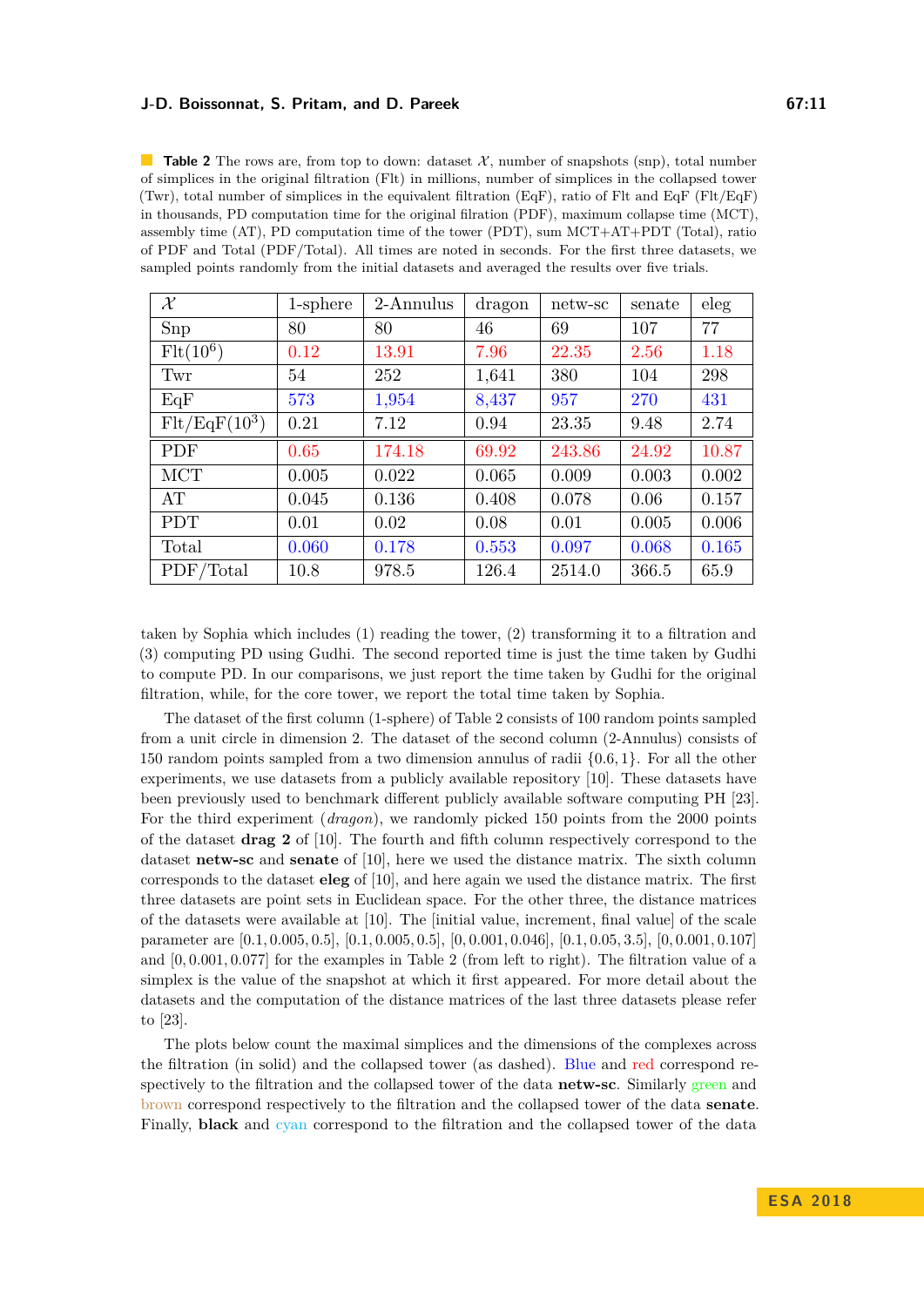<span id="page-10-0"></span>**Table 2** The rows are, from top to down: dataset  $\mathcal{X}$ , number of snapshots (snp), total number of simplices in the original filtration (Flt) in millions, number of simplices in the collapsed tower (Twr), total number of simplices in the equivalent filtration (EqF), ratio of Flt and EqF (Flt/EqF) in thousands, PD computation time for the original filration (PDF), maximum collapse time (MCT), assembly time (AT), PD computation time of the tower (PDT), sum MCT+AT+PDT (Total), ratio of PDF and Total (PDF/Total). All times are noted in seconds. For the first three datasets, we sampled points randomly from the initial datasets and averaged the results over five trials.

| $\mathcal{X}$   | 1-sphere | 2-Annulus | dragon | netw-sc | senate | eleg  |
|-----------------|----------|-----------|--------|---------|--------|-------|
| Snp             | 80       | 80        | 46     | 69      | 107    | 77    |
| $Flt(10^6)$     | 0.12     | 13.91     | 7.96   | 22.35   | 2.56   | 1.18  |
| Twr             | 54       | 252       | 1,641  | 380     | 104    | 298   |
| EqF             | 573      | 1,954     | 8,437  | 957     | 270    | 431   |
| $Flt/EqF(10^3)$ | 0.21     | 7.12      | 0.94   | 23.35   | 9.48   | 2.74  |
| PDF             | 0.65     | 174.18    | 69.92  | 243.86  | 24.92  | 10.87 |
| <b>MCT</b>      | 0.005    | 0.022     | 0.065  | 0.009   | 0.003  | 0.002 |
| AT              | 0.045    | 0.136     | 0.408  | 0.078   | 0.06   | 0.157 |
| <b>PDT</b>      | 0.01     | 0.02      | 0.08   | 0.01    | 0.005  | 0.006 |
| Total           | 0.060    | 0.178     | 0.553  | 0.097   | 0.068  | 0.165 |
| PDF/Total       | 10.8     | 978.5     | 126.4  | 2514.0  | 366.5  | 65.9  |

taken by Sophia which includes (1) reading the tower, (2) transforming it to a filtration and (3) computing PD using Gudhi. The second reported time is just the time taken by Gudhi to compute PD. In our comparisons, we just report the time taken by Gudhi for the original filtration, while, for the core tower, we report the total time taken by Sophia.

The dataset of the first column (1-sphere) of [Table 2](#page-10-0) consists of 100 random points sampled from a unit circle in dimension 2. The dataset of the second column (2-Annulus) consists of 150 random points sampled from a two dimension annulus of radii {0*.*6*,* 1}. For all the other experiments, we use datasets from a publicly available repository [\[10\]](#page-12-24). These datasets have been previously used to benchmark different publicly available software computing PH [\[23\]](#page-12-25). For the third experiment (*dragon*), we randomly picked 150 points from the 2000 points of the dataset **drag 2** of [\[10\]](#page-12-24). The fourth and fifth column respectively correspond to the dataset **netw-sc** and **senate** of [\[10\]](#page-12-24), here we used the distance matrix. The sixth column corresponds to the dataset **eleg** of [\[10\]](#page-12-24), and here again we used the distance matrix. The first three datasets are point sets in Euclidean space. For the other three, the distance matrices of the datasets were available at [\[10\]](#page-12-24). The [initial value, increment, final value] of the scale parameter are  $[0.1, 0.005, 0.5], [0.1, 0.005, 0.5], [0, 0.001, 0.046], [0.1, 0.05, 3.5], [0, 0.001, 0.107]$ and [0*,* 0*.*001*,* 0*.*077] for the examples in Table [2](#page-10-0) (from left to right). The filtration value of a simplex is the value of the snapshot at which it first appeared. For more detail about the datasets and the computation of the distance matrices of the last three datasets please refer to [\[23\]](#page-12-25).

The plots below count the maximal simplices and the dimensions of the complexes across the filtration (in solid) and the collapsed tower (as dashed). Blue and red correspond respectively to the filtration and the collapsed tower of the data **netw-sc**. Similarly green and brown correspond respectively to the filtration and the collapsed tower of the data **senate**. Finally, **black** and cyan correspond to the filtration and the collapsed tower of the data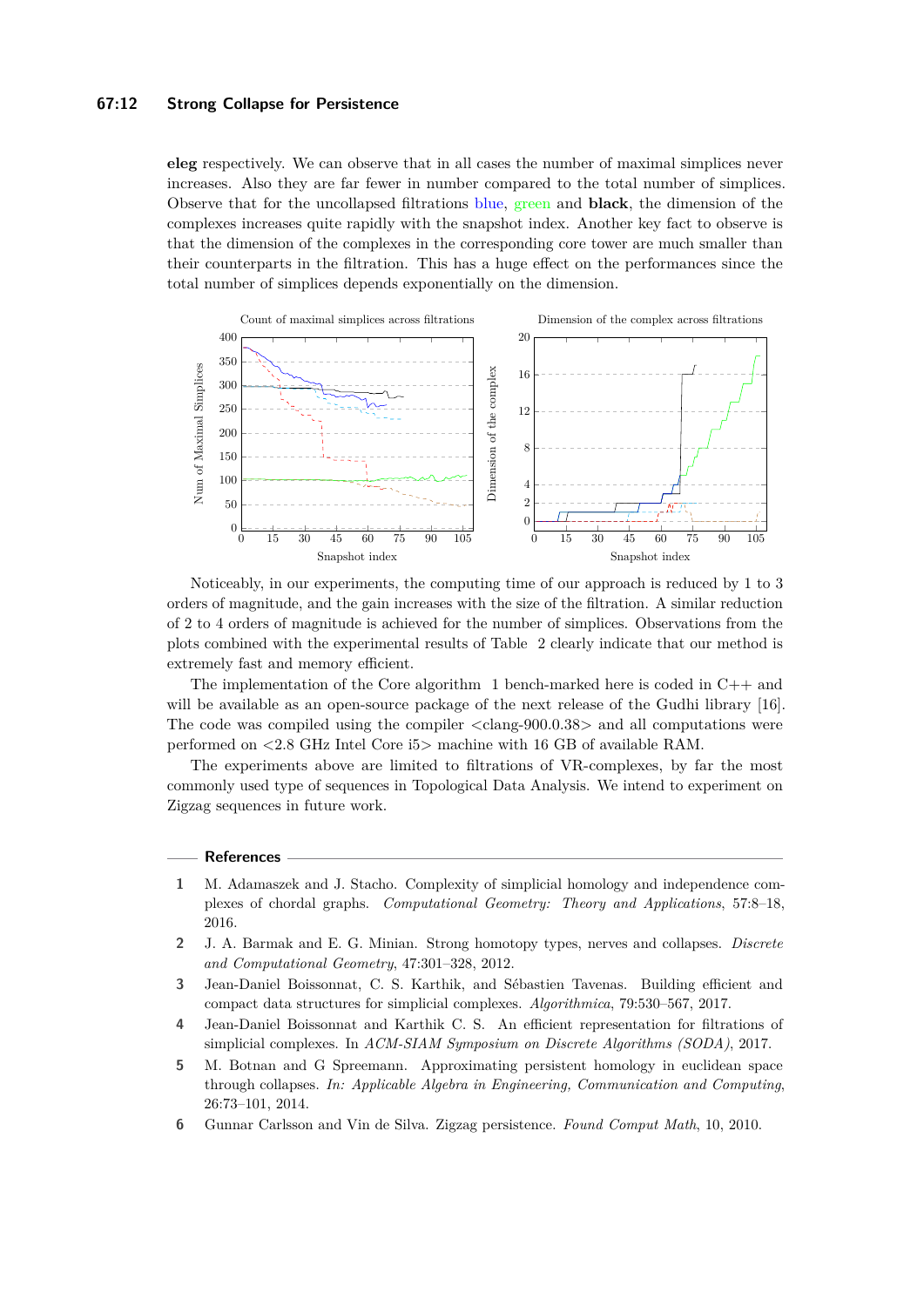#### **67:12 Strong Collapse for Persistence**

**eleg** respectively. We can observe that in all cases the number of maximal simplices never increases. Also they are far fewer in number compared to the total number of simplices. Observe that for the uncollapsed filtrations blue, green and **black**, the dimension of the complexes increases quite rapidly with the snapshot index. Another key fact to observe is that the dimension of the complexes in the corresponding core tower are much smaller than their counterparts in the filtration. This has a huge effect on the performances since the total number of simplices depends exponentially on the dimension.



Noticeably, in our experiments, the computing time of our approach is reduced by 1 to 3 orders of magnitude, and the gain increases with the size of the filtration. A similar reduction of 2 to 4 orders of magnitude is achieved for the number of simplices. Observations from the plots combined with the experimental results of Table [2](#page-10-0) clearly indicate that our method is extremely fast and memory efficient.

The implementation of the Core algorithm [1](#page-7-0) bench-marked here is coded in C++ and will be available as an open-source package of the next release of the Gudhi library [\[16\]](#page-12-3). The code was compiled using the compiler <clang-900.0.38> and all computations were performed on <2.8 GHz Intel Core i5> machine with 16 GB of available RAM.

The experiments above are limited to filtrations of VR-complexes, by far the most commonly used type of sequences in Topological Data Analysis. We intend to experiment on Zigzag sequences in future work.

#### **References**

- <span id="page-11-4"></span>**1** M. Adamaszek and J. Stacho. Complexity of simplicial homology and independence complexes of chordal graphs. *Computational Geometry: Theory and Applications*, 57:8–18, 2016.
- <span id="page-11-1"></span>**2** J. A. Barmak and E. G. Minian. Strong homotopy types, nerves and collapses. *Discrete and Computational Geometry*, 47:301–328, 2012.
- <span id="page-11-3"></span>**3** Jean-Daniel Boissonnat, C. S. Karthik, and Sébastien Tavenas. Building efficient and compact data structures for simplicial complexes. *Algorithmica*, 79:530–567, 2017.
- <span id="page-11-2"></span>**4** Jean-Daniel Boissonnat and Karthik C. S. An efficient representation for filtrations of simplicial complexes. In *ACM-SIAM Symposium on Discrete Algorithms (SODA)*, 2017.
- <span id="page-11-0"></span>**5** M. Botnan and G Spreemann. Approximating persistent homology in euclidean space through collapses. *In: Applicable Algebra in Engineering, Communication and Computing*, 26:73–101, 2014.
- <span id="page-11-5"></span>**6** Gunnar Carlsson and Vin de Silva. Zigzag persistence. *Found Comput Math*, 10, 2010.